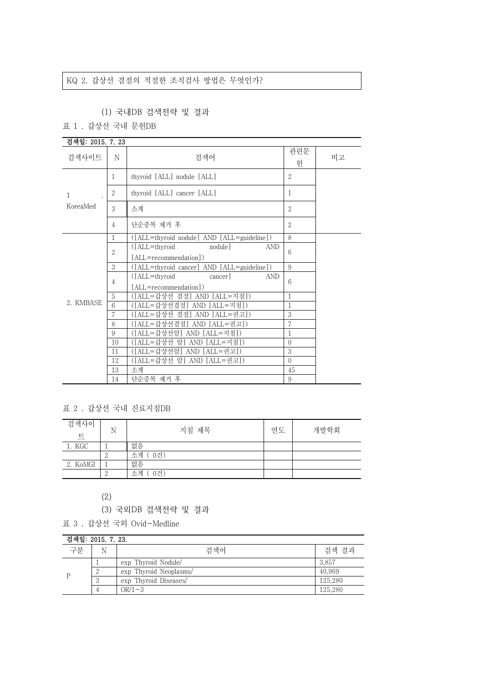## KQ 2. 갑상선 결절의 적절한 조직검사 방법은 무엇인가?

## (1) 국내DB 검색전략 및 결과

표 1 . 갑상선 국내 문헌DB

| 검색일: 2015, 7, 23 |                |                                            |                |    |
|------------------|----------------|--------------------------------------------|----------------|----|
| 검색사이트            | N              | 검색어                                        | 관련문<br>허       | 비고 |
| 1                | 1              | thyroid [ALL] nodule [ALL]                 | $\overline{2}$ |    |
|                  | $\overline{2}$ | thyroid [ALL] cancer [ALL]                 | 1              |    |
| KoreaMed         | 3              | 소계                                         | $\overline{2}$ |    |
|                  | $\overline{4}$ | 단순중복 제거 후                                  | $\overline{2}$ |    |
|                  | 1              | ([ALL=thyroid nodule] AND [ALL=guideline]) | 8              |    |
|                  | $\overline{2}$ | ([ALL=thyroid<br>nodule]<br><b>AND</b>     | 6              |    |
|                  |                | [ALL=recommendation])                      |                |    |
|                  | 3              | ([ALL=thyroid cancer] AND [ALL=guideline]) | 9              |    |
|                  | $\overline{4}$ | $(LAL = thyroid)$<br>cancer]<br><b>AND</b> | 6              |    |
|                  |                | [ALL=recommendation])                      |                |    |
|                  | 5              | ([ALL=갑상선 결절] AND [ALL=지침])                | $\mathbf{1}$   |    |
| 2. KMBASE        | 6              | ([ALL=갑상선결절] AND [ALL=지침])                 | 1              |    |
|                  | 7              | ([ALL=갑상선 결절] AND [ALL=권고])                | 3              |    |
|                  | 8              | ([ALL=갑상선결절] AND [ALL=권고])                 | 7              |    |
|                  | 9              | ([ALL=갑상선암] AND [ALL=지침])                  | 1              |    |
|                  | 10             | ([ALL=갑상선 암] AND [ALL=지침])                 | $\overline{0}$ |    |
|                  | 11             | ([ALL=갑상선암] AND [ALL=권고])                  | 3              |    |
|                  | 12             | ([ALL=갑상선 암] AND [ALL=권고])                 | $\Omega$       |    |
|                  | 13             | 소계                                         | 45             |    |
|                  | 14             | 단순중복 제거 후                                  | 9              |    |

표 2 . 갑상선 국내 진료지침DB

| 검색사이<br>E | N | 지침 제목     | 연도 | 개발학회 |  |
|-----------|---|-----------|----|------|--|
| 1. KGC    |   | 없음        |    |      |  |
|           |   | 소계 (0건)   |    |      |  |
| 2. KoMGI  |   | 없음        |    |      |  |
|           |   | 0건)<br>소계 |    |      |  |

(2)

- (3) 국외DB 검색전략 및 결과
- 표 3 . 갑상선 국외 Ovid-Medline

| 검색일: 2015. 7. 23. |                |                        |         |  |
|-------------------|----------------|------------------------|---------|--|
| 구부                | N              | 검색어                    | 검색 결과   |  |
|                   |                | exp Thyroid Nodule/    | 3.857   |  |
|                   | റ              | exp Thyroid Neoplasms/ | 40,969  |  |
|                   | $\Omega$<br>ن. | exp Thyroid Diseases/  | 125,280 |  |
|                   |                | $OR/1-3$               | 125.280 |  |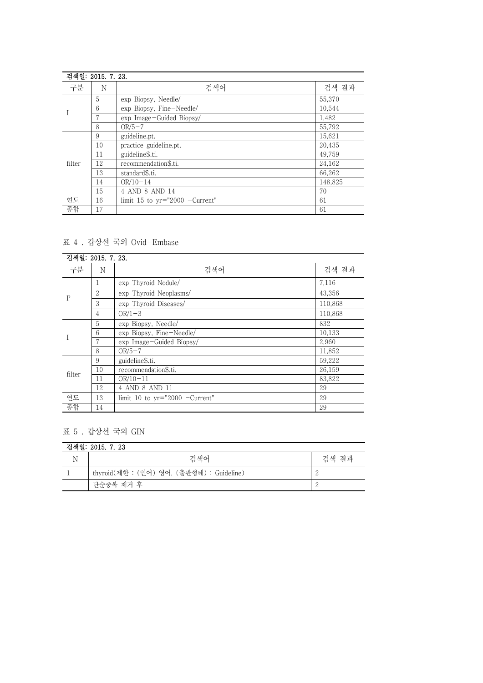|        | 검색일: 2015. 7. 23. |                                  |         |  |  |
|--------|-------------------|----------------------------------|---------|--|--|
| 구분     | N                 | 검색어                              | 검색 결과   |  |  |
|        | 5                 | exp Biopsy, Needle/              | 55,370  |  |  |
|        | 6                 | exp Biopsy, Fine-Needle/         | 10,544  |  |  |
|        |                   | exp Image-Guided Biopsy/         | 1,482   |  |  |
|        | 8                 | $OR/5-7$                         | 55,792  |  |  |
|        | 9                 | guideline.pt.                    | 15,621  |  |  |
|        | 10                | practice guideline.pt.           | 20,435  |  |  |
|        | 11                | guideline\$.ti.                  | 49,759  |  |  |
| filter | 12                | recommendation\$.ti.             | 24,162  |  |  |
|        | 13                | standard\$.ti.                   | 66,262  |  |  |
|        | 14                | $OR/10-14$                       | 148.825 |  |  |
|        | 15                | 4 AND 8 AND 14                   | 70      |  |  |
| 연도     | 16                | limit 15 to $yr="2000$ -Current" | 61      |  |  |
| 종합     | 17                |                                  | 61      |  |  |

# 표 4 . 갑상선 국외 Ovid-Embase

| 검색일: 2015. 7. 23. |    |                                  |         |  |
|-------------------|----|----------------------------------|---------|--|
| 구분                | N  | 검색어                              | 검색 결과   |  |
| $\mathbf P$       |    | exp Thyroid Nodule/              | 7,116   |  |
|                   | 2  | exp Thyroid Neoplasms/           | 43,356  |  |
|                   | 3  | exp Thyroid Diseases/            | 110,868 |  |
|                   | 4  | $OR/1-3$                         | 110,868 |  |
|                   | 5  | exp Biopsy, Needle/              | 832     |  |
|                   | 6  | exp Biopsy, Fine-Needle/         | 10,133  |  |
|                   | 7  | exp Image-Guided Biopsy/         | 2,960   |  |
|                   | 8  | $OR/5-7$                         | 11,852  |  |
|                   | 9  | guideline\$.ti.                  | 59,222  |  |
| filter            | 10 | recommendation\$.ti.             | 26,159  |  |
|                   | 11 | $OR/10-11$                       | 83,822  |  |
|                   | 12 | 4 AND 8 AND 11                   | 29      |  |
| 연도                | 13 | limit 10 to $yr="2000$ -Current" | 29      |  |
| 종합                | 14 |                                  | 29      |  |

# 표 5 . 갑상선 국외 GIN

| 검색일: 2015. 7. 23 |                                           |       |  |
|------------------|-------------------------------------------|-------|--|
|                  | 검색어                                       | 검색 결과 |  |
|                  | thyroid(제한 : (언어) 영어, (출판형태) : Guideline) |       |  |
|                  | 단순중복 제거 후                                 | - 0   |  |